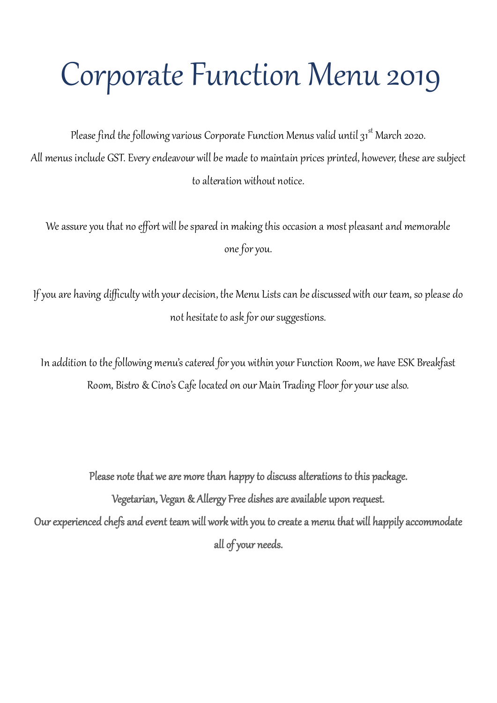# Corporate Function Menu 2019

Please find the following various Corporate Function Menus valid until  $31^{\text{st}}$  March 2020. All menus include GST. Every endeavour will be made to maintain prices printed, however, these are subject to alteration without notice.

We assure you that no effort will be spared in making this occasion a most pleasant and memorable one for you.

If you are having difficulty with your decision, the Menu Lists can be discussed with our team, so please do not hesitate to ask for our suggestions.

In addition to the following menu's catered for you within your Function Room, we have ESK Breakfast Room, Bistro & Cino's Cafe located on our Main Trading Floor for your use also.

Please note that we are more than happy to discuss alterations to this package. Vegetarian, Vegan & Allergy Free dishes are available upon request. Our experienced chefs and event team will work with you to create a menu that will happily accommodate all of your needs.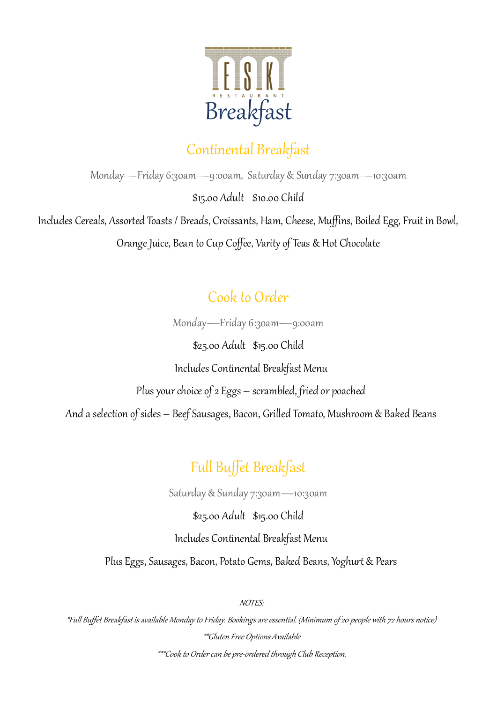

#### Continental Breakfast

Monday—Friday 6:30am—9:00am, Saturday & Sunday 7:30am—10:30am

\$15.00 Adult \$10.00 Child

Includes Cereals, Assorted Toasts / Breads, Croissants, Ham, Cheese, Muffins, Boiled Egg, Fruit in Bowl,

Orange Juice, Bean to Cup Coffee, Varity of Teas & Hot Chocolate

#### Cook to Order

Monday—Friday 6:30am—9:00am

\$25.00 Adult \$15.00 Child Includes Continental Breakfast Menu Plus your choice of 2 Eggs – scrambled, fried or poached And a selection of sides – Beef Sausages, Bacon, Grilled Tomato, Mushroom & Baked Beans

### Full Buffet Breakfast

Saturday & Sunday 7:30am—10:30am

\$25.00 Adult \$15.00 Child

#### Includes Continental Breakfast Menu

Plus Eggs, Sausages, Bacon, Potato Gems, Baked Beans, Yoghurt & Pears

NOTES:

\*Full Buffet Breakfast is available Monday to Friday. Bookings are essential. (Minimum of 20 people with 72 hours notice) \*\*Gluten Free Options Available \*\*\*Cook to Order can be pre-ordered through Club Reception.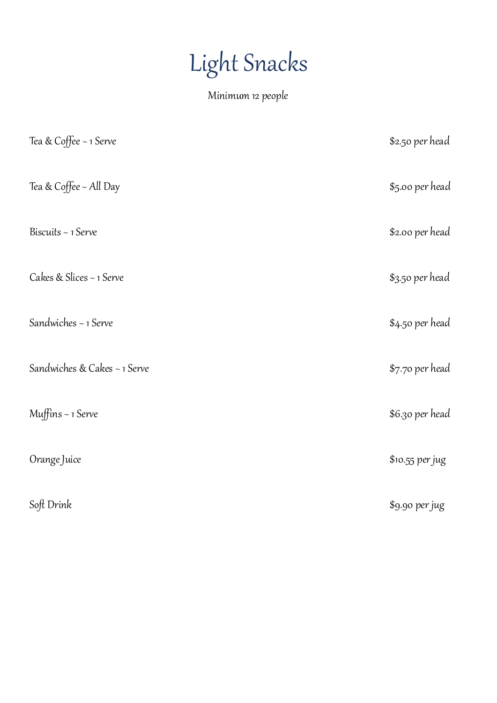# Light Snacks

Minimum 12 people

| Tea & Coffee ~ 1 Serve       | \$2.50 per head |
|------------------------------|-----------------|
| Tea & Coffee ~ All Day       | \$5.00 per head |
| Biscuits ~ 1 Serve           | \$2.00 per head |
| Cakes & Slices ~ 1 Serve     | \$3.50 per head |
| Sandwiches ~ 1 Serve         | \$4.50 per head |
| Sandwiches & Cakes ~ 1 Serve | \$7.70 per head |
| Muffins $\sim$ 1 Serve       | \$6.30 per head |
| Orange Juice                 | \$10.55 per jug |
| Soft Drink                   | \$9.90 per jug  |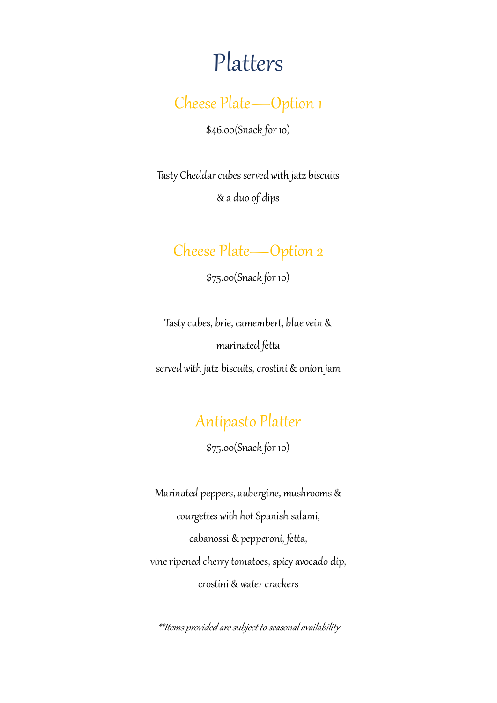## Platters

Cheese Plate—Option 1

\$46.00(Snack for 10)

Tasty Cheddar cubes served with jatz biscuits & a duo of dips

#### Cheese Plate—Option 2

\$75.00(Snack for 10)

Tasty cubes, brie, camembert, blue vein & marinated fetta served with jatz biscuits, crostini & onion jam

#### Antipasto Platter

\$75.00(Snack for 10)

Marinated peppers, aubergine, mushrooms & courgettes with hot Spanish salami, cabanossi & pepperoni, fetta, vine ripened cherry tomatoes, spicy avocado dip, crostini & water crackers

\*\*Items provided are subject to seasonal availability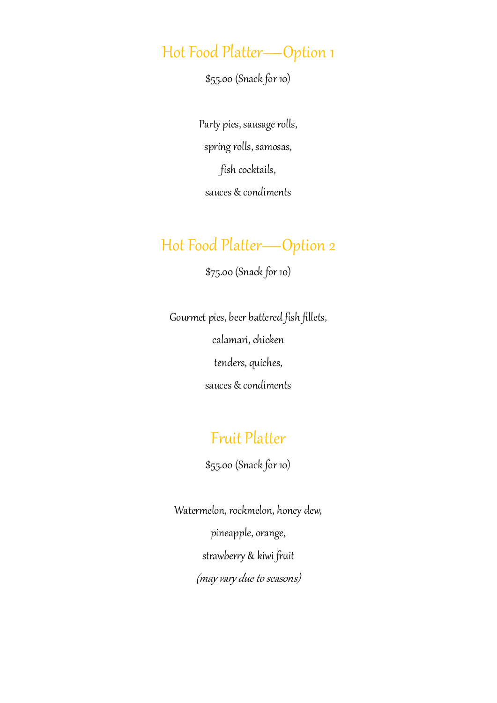#### Hot Food Platter—Option 1

\$55.00 (Snack for 10)

Party pies, sausage rolls, spring rolls, samosas, fish cocktails, sauces & condiments

#### Hot Food Platter—Option 2

\$75.00 (Snack for 10)

Gourmet pies, beer battered fish fillets, calamari, chicken tenders, quiches, sauces & condiments

#### Fruit Platter

\$55.00 (Snack for 10)

Watermelon, rockmelon, honey dew, pineapple, orange, strawberry & kiwi fruit (may vary due to seasons)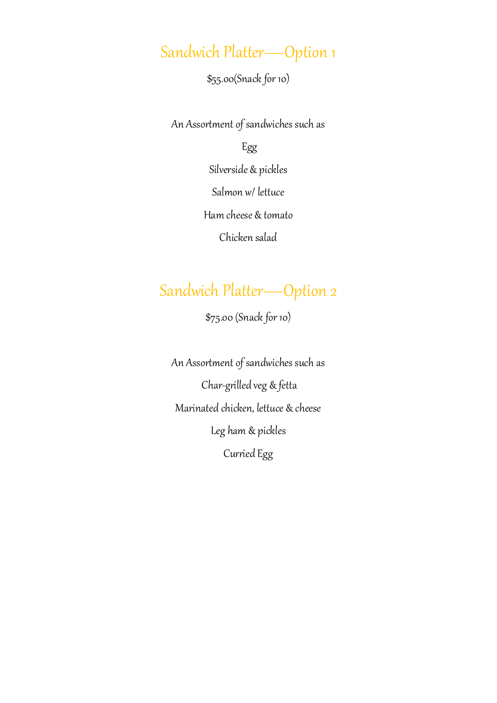## Sandwich Platter—Option 1

\$55.00(Snack for 10)

An Assortment of sandwiches such as

#### Egg

Silverside & pickles

Salmon w/ lettuce

Ham cheese & tomato

Chicken salad

#### Sandwich Platter—Option 2

\$75.00 (Snack for 10)

An Assortment of sandwiches such as Char-grilled veg & fetta Marinated chicken, lettuce & cheese Leg ham & pickles Curried Egg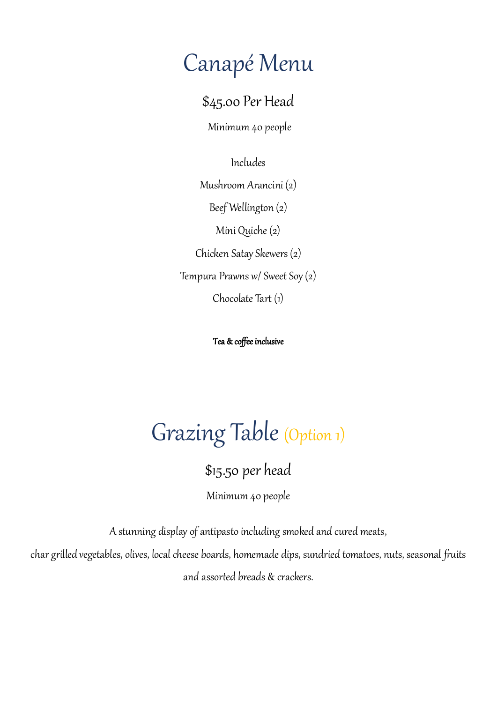## Canapé Menu

\$45.00 Per Head

Minimum 40 people

Includes

Mushroom Arancini (2)

Beef Wellington (2)

Mini Quiche (2)

Chicken Satay Skewers (2)

Tempura Prawns w/ Sweet Soy (2)

Chocolate Tart (1)

Tea & coffee inclusive

# Grazing Table (Option 1)

\$15.50 per head

Minimum 40 people

A stunning display of antipasto including smoked and cured meats,

char grilled vegetables, olives, local cheese boards, homemade dips, sundried tomatoes, nuts, seasonal fruits and assorted breads & crackers.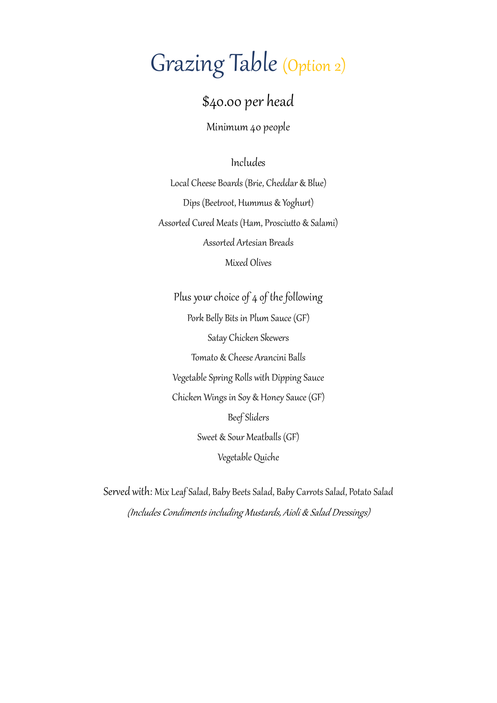# Grazing Table (Option 2)

#### \$40.00 per head

Minimum 40 people

Includes

Local Cheese Boards (Brie, Cheddar & Blue) Dips (Beetroot, Hummus & Yoghurt) Assorted Cured Meats (Ham, Prosciutto & Salami) Assorted Artesian Breads Mixed Olives

Plus your choice of 4 of the following Pork Belly Bits in Plum Sauce (GF) Satay Chicken Skewers Tomato & Cheese Arancini Balls Vegetable Spring Rolls with Dipping Sauce Chicken Wings in Soy & Honey Sauce (GF) Beef Sliders Sweet & Sour Meatballs (GF) Vegetable Quiche

Served with: Mix Leaf Salad, Baby Beets Salad, Baby Carrots Salad, Potato Salad (Includes Condiments including Mustards, Aioli & Salad Dressings)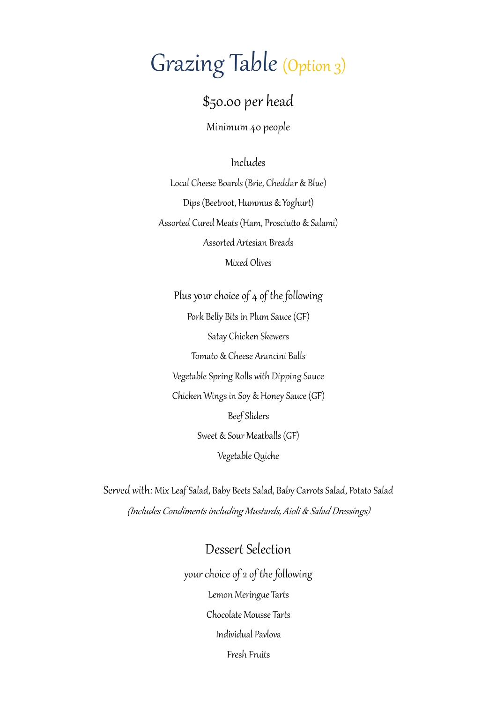## Grazing Table (Option 3)

#### \$50.00 per head

Minimum 40 people

#### Includes

Local Cheese Boards (Brie, Cheddar & Blue) Dips (Beetroot, Hummus & Yoghurt) Assorted Cured Meats (Ham, Prosciutto & Salami) Assorted Artesian Breads Mixed Olives

Plus your choice of 4 of the following Pork Belly Bits in Plum Sauce (GF) Satay Chicken Skewers Tomato & Cheese Arancini Balls Vegetable Spring Rolls with Dipping Sauce Chicken Wings in Soy & Honey Sauce (GF) Beef Sliders Sweet & Sour Meatballs (GF) Vegetable Quiche

Served with: Mix Leaf Salad, Baby Beets Salad, Baby Carrots Salad, Potato Salad (Includes Condiments including Mustards, Aioli & Salad Dressings)

#### Dessert Selection

your choice of 2 of the following Lemon Meringue Tarts Chocolate Mousse Tarts Individual Pavlova Fresh Fruits